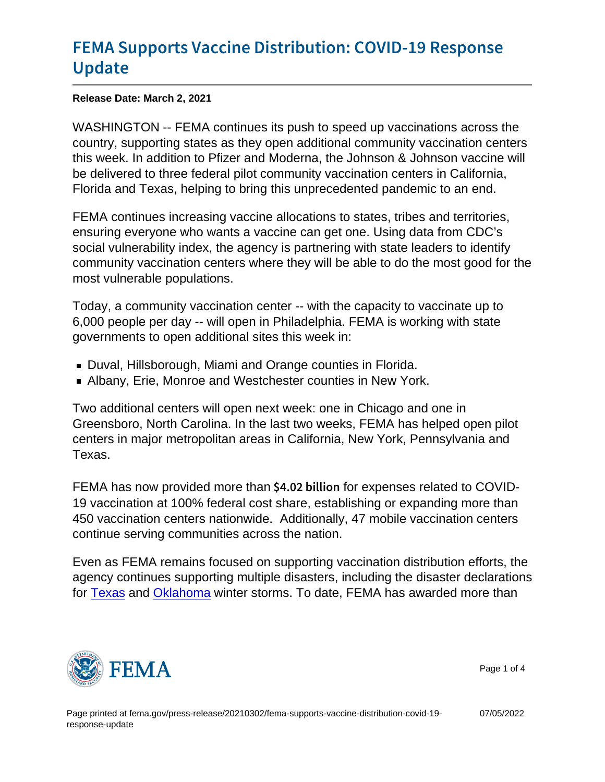# [FEMA Supports Vaccine Distributi](https://www.fema.gov/press-release/20210302/fema-supports-vaccine-distribution-covid-19-response-update)on: COV [Upda](https://www.fema.gov/press-release/20210302/fema-supports-vaccine-distribution-covid-19-response-update)te

Release Date: March 2, 2021

WASHINGTON -- FEMA continues its push to speed up vaccinations across the country, supporting states as they open additional community vaccination centers this week. In addition to Pfizer and Moderna, the Johnson & Johnson vaccine will be delivered to three federal pilot community vaccination centers in California, Florida and Texas, helping to bring this unprecedented pandemic to an end.

FEMA continues increasing vaccine allocations to states, tribes and territories, ensuring everyone who wants a vaccine can get one. Using data from CDC's social vulnerability index, the agency is partnering with state leaders to identify community vaccination centers where they will be able to do the most good for the most vulnerable populations.

Today, a community vaccination center -- with the capacity to vaccinate up to 6,000 people per day -- will open in Philadelphia. FEMA is working with state governments to open additional sites this week in:

- Duval, Hillsborough, Miami and Orange counties in Florida.
- Albany, Erie, Monroe and Westchester counties in New York.

Two additional centers will open next week: one in Chicago and one in Greensboro, North Carolina. In the last two weeks, FEMA has helped open pilot centers in major metropolitan areas in California, New York, Pennsylvania and Texas.

FEMA has now provided more than  $$4.02$  b for express related to COVID-19 vaccination at 100% federal cost share, establishing or expanding more than 450 vaccination centers nationwide. Additionally, 47 mobile vaccination centers continue serving communities across the nation.

Even as FEMA remains focused on supporting vaccination distribution efforts, the agency continues supporting multiple disasters, including the disaster declarations for [Texas](https://www.fema.gov/press-release/20210220/president-joseph-r-biden-jr-approves-major-disaster-declaration-texas) and [Oklahoma](https://www.fema.gov/press-release/20210225/president-joseph-r-biden-jr-approves-major-disaster-declaration-oklahoma) winter storms. To date, FEMA has awarded more than



Page 1 of 4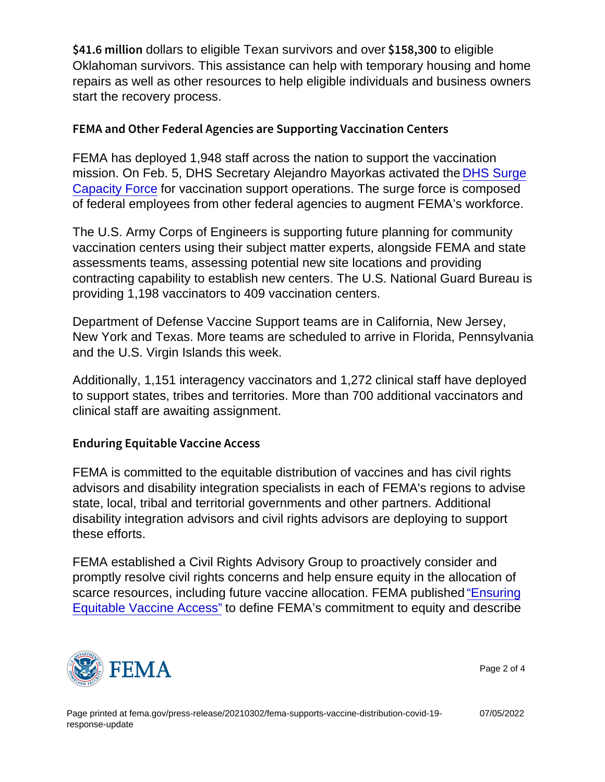$$41.6$  m dblians to eligible Texan survivors and over  $$158$ , to eligible Oklahoman survivors. This assistance can help with temporary housing and home repairs as well as other resources to help eligible individuals and business owners start the recovery process.

#### FEMA and Other Federal Agencies are Supporting Vaccinat

FEMA has deployed 1,948 staff across the nation to support the vaccination mission. On Feb. 5, DHS Secretary Alejandro Mayorkas activated the [DHS Surge](https://youtu.be/0ByY1lQkKpQ) [Capacity Force](https://youtu.be/0ByY1lQkKpQ) for vaccination support operations. The surge force is composed of federal employees from other federal agencies to augment FEMA's workforce.

The U.S. Army Corps of Engineers is supporting future planning for community vaccination centers using their subject matter experts, alongside FEMA and state assessments teams, assessing potential new site locations and providing contracting capability to establish new centers. The U.S. National Guard Bureau is providing 1,198 vaccinators to 409 vaccination centers.

Department of Defense Vaccine Support teams are in California, New Jersey, New York and Texas. More teams are scheduled to arrive in Florida, Pennsylvania and the U.S. Virgin Islands this week.

Additionally, 1,151 interagency vaccinators and 1,272 clinical staff have deployed to support states, tribes and territories. More than 700 additional vaccinators and clinical staff are awaiting assignment.

### Enduring Equitable Vaccine Access

FEMA is committed to the equitable distribution of vaccines and has civil rights advisors and disability integration specialists in each of FEMA's regions to advise state, local, tribal and territorial governments and other partners. Additional disability integration advisors and civil rights advisors are deploying to support these efforts.

FEMA established a Civil Rights Advisory Group to proactively consider and promptly resolve civil rights concerns and help ensure equity in the allocation of scarce resources, including future vaccine allocation. FEMA published ["Ensuring](https://www.fema.gov/blog/fema-takes-action-ensure-equity-vaccine-distribution) [Equitable Vaccine Access"](https://www.fema.gov/blog/fema-takes-action-ensure-equity-vaccine-distribution) to define FEMA's commitment to equity and describe



Page 2 of 4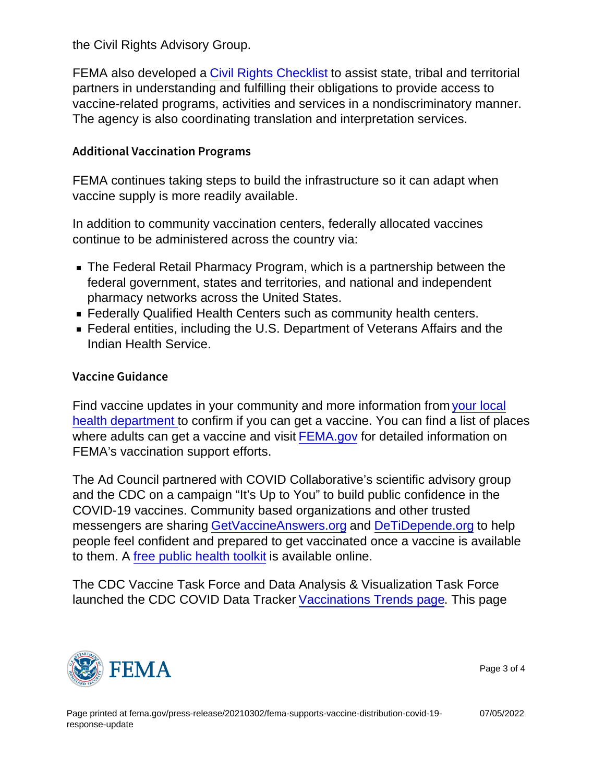the Civil Rights Advisory Group.

FEMA also developed a [Civil Rights Checklist](https://www.fema.gov/sites/default/files/documents/fema_civil-rights-covid-19_vaccine_checklist_02-11-2021.pdf) to assist state, tribal and territorial partners in understanding and fulfilling their obligations to provide access to vaccine-related programs, activities and services in a nondiscriminatory manner. The agency is also coordinating translation and interpretation services.

## Additional Vaccination Programs

FEMA continues taking steps to build the infrastructure so it can adapt when vaccine supply is more readily available.

In addition to community vaccination centers, federally allocated vaccines continue to be administered across the country via:

- The Federal Retail Pharmacy Program, which is a partnership between the federal government, states and territories, and national and independent pharmacy networks across the United States.
- **Federally Qualified Health Centers such as community health centers.**
- Federal entities, including the U.S. Department of Veterans Affairs and the Indian Health Service.

#### Vaccine Guidance

Find vaccine updates in your community and more information from [your local](https://www.cdc.gov/publichealthgateway/healthdirectories/index.html/) [health department t](https://www.cdc.gov/publichealthgateway/healthdirectories/index.html/)o confirm if you can get a vaccine. You can find a list of places where adults can get a vaccine and visit [FEMA.gov](https://www.fema.gov/disasters/coronavirus) for detailed information on FEMA's vaccination support efforts.

The Ad Council partnered with COVID Collaborative's scientific advisory group and the CDC on a campaign "It's Up to You" to build public confidence in the COVID-19 vaccines. Community based organizations and other trusted messengers are sharing [GetVaccineAnswers.org](https://getvaccineanswers.org/) and [DeTiDepende.org](https://spanish.getvaccineanswers.org/) to help people feel confident and prepared to get vaccinated once a vaccine is available to them. A [free public health toolkit](https://adcouncilvaccinetoolkit.org/) is available online.

The CDC Vaccine Task Force and Data Analysis & Visualization Task Force launched the CDC COVID Data Tracker [Vaccinations Trends page.](https://covid.cdc.gov/covid-data-tracker/) This page



Page 3 of 4